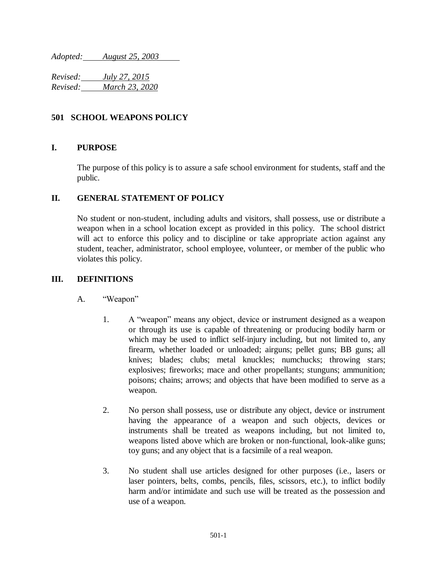*Adopted: August 25, 2003*

*Revised: July 27, 2015 Revised: March 23, 2020*

# **501 SCHOOL WEAPONS POLICY**

### **I. PURPOSE**

The purpose of this policy is to assure a safe school environment for students, staff and the public.

### **II. GENERAL STATEMENT OF POLICY**

No student or non-student, including adults and visitors, shall possess, use or distribute a weapon when in a school location except as provided in this policy. The school district will act to enforce this policy and to discipline or take appropriate action against any student, teacher, administrator, school employee, volunteer, or member of the public who violates this policy.

# **III. DEFINITIONS**

- A. "Weapon"
	- 1. A "weapon" means any object, device or instrument designed as a weapon or through its use is capable of threatening or producing bodily harm or which may be used to inflict self-injury including, but not limited to, any firearm, whether loaded or unloaded; airguns; pellet guns; BB guns; all knives; blades; clubs; metal knuckles; numchucks; throwing stars; explosives; fireworks; mace and other propellants; stunguns; ammunition; poisons; chains; arrows; and objects that have been modified to serve as a weapon.
	- 2. No person shall possess, use or distribute any object, device or instrument having the appearance of a weapon and such objects, devices or instruments shall be treated as weapons including, but not limited to, weapons listed above which are broken or non-functional, look-alike guns; toy guns; and any object that is a facsimile of a real weapon.
	- 3. No student shall use articles designed for other purposes (i.e., lasers or laser pointers, belts, combs, pencils, files, scissors, etc.), to inflict bodily harm and/or intimidate and such use will be treated as the possession and use of a weapon.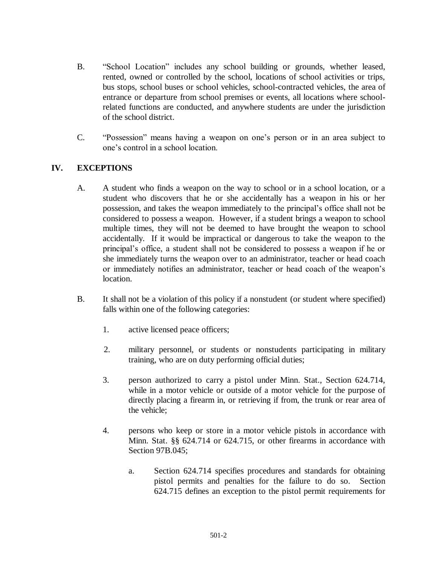- B. "School Location" includes any school building or grounds, whether leased, rented, owned or controlled by the school, locations of school activities or trips, bus stops, school buses or school vehicles, school-contracted vehicles, the area of entrance or departure from school premises or events, all locations where schoolrelated functions are conducted, and anywhere students are under the jurisdiction of the school district.
- C. "Possession" means having a weapon on one's person or in an area subject to one's control in a school location.

### **IV. EXCEPTIONS**

- A. A student who finds a weapon on the way to school or in a school location, or a student who discovers that he or she accidentally has a weapon in his or her possession, and takes the weapon immediately to the principal's office shall not be considered to possess a weapon. However, if a student brings a weapon to school multiple times, they will not be deemed to have brought the weapon to school accidentally. If it would be impractical or dangerous to take the weapon to the principal's office, a student shall not be considered to possess a weapon if he or she immediately turns the weapon over to an administrator, teacher or head coach or immediately notifies an administrator, teacher or head coach of the weapon's location.
- B. It shall not be a violation of this policy if a nonstudent (or student where specified) falls within one of the following categories:
	- 1. active licensed peace officers;
	- 2. military personnel, or students or nonstudents participating in military training, who are on duty performing official duties;
	- 3. person authorized to carry a pistol under Minn. Stat., Section 624.714, while in a motor vehicle or outside of a motor vehicle for the purpose of directly placing a firearm in, or retrieving if from, the trunk or rear area of the vehicle;
	- 4. persons who keep or store in a motor vehicle pistols in accordance with Minn. Stat. §§ 624.714 or 624.715, or other firearms in accordance with Section 97B.045;
		- a. Section 624.714 specifies procedures and standards for obtaining pistol permits and penalties for the failure to do so. Section 624.715 defines an exception to the pistol permit requirements for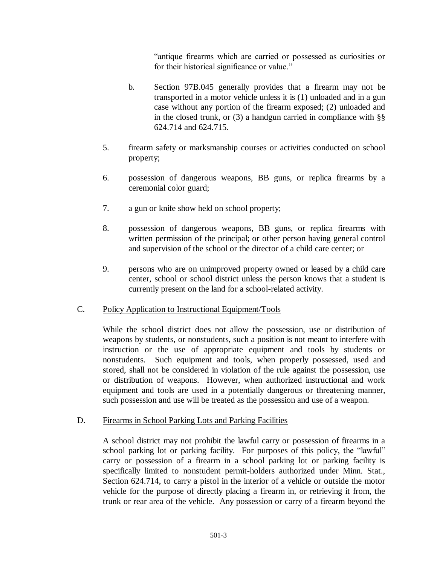"antique firearms which are carried or possessed as curiosities or for their historical significance or value."

- b. Section 97B.045 generally provides that a firearm may not be transported in a motor vehicle unless it is (1) unloaded and in a gun case without any portion of the firearm exposed; (2) unloaded and in the closed trunk, or  $(3)$  a handgun carried in compliance with §§ 624.714 and 624.715.
- 5. firearm safety or marksmanship courses or activities conducted on school property;
- 6. possession of dangerous weapons, BB guns, or replica firearms by a ceremonial color guard;
- 7. a gun or knife show held on school property;
- 8. possession of dangerous weapons, BB guns, or replica firearms with written permission of the principal; or other person having general control and supervision of the school or the director of a child care center; or
- 9. persons who are on unimproved property owned or leased by a child care center, school or school district unless the person knows that a student is currently present on the land for a school-related activity.

### C. Policy Application to Instructional Equipment/Tools

While the school district does not allow the possession, use or distribution of weapons by students, or nonstudents, such a position is not meant to interfere with instruction or the use of appropriate equipment and tools by students or nonstudents. Such equipment and tools, when properly possessed, used and stored, shall not be considered in violation of the rule against the possession, use or distribution of weapons. However, when authorized instructional and work equipment and tools are used in a potentially dangerous or threatening manner, such possession and use will be treated as the possession and use of a weapon.

### D. Firearms in School Parking Lots and Parking Facilities

A school district may not prohibit the lawful carry or possession of firearms in a school parking lot or parking facility. For purposes of this policy, the "lawful" carry or possession of a firearm in a school parking lot or parking facility is specifically limited to nonstudent permit-holders authorized under Minn. Stat., Section 624.714, to carry a pistol in the interior of a vehicle or outside the motor vehicle for the purpose of directly placing a firearm in, or retrieving it from, the trunk or rear area of the vehicle. Any possession or carry of a firearm beyond the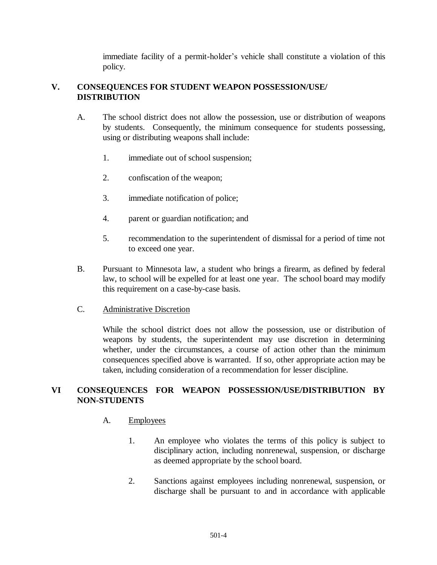immediate facility of a permit-holder's vehicle shall constitute a violation of this policy.

### **V. CONSEQUENCES FOR STUDENT WEAPON POSSESSION/USE/ DISTRIBUTION**

- A. The school district does not allow the possession, use or distribution of weapons by students. Consequently, the minimum consequence for students possessing, using or distributing weapons shall include:
	- 1. immediate out of school suspension;
	- 2. confiscation of the weapon;
	- 3. immediate notification of police;
	- 4. parent or guardian notification; and
	- 5. recommendation to the superintendent of dismissal for a period of time not to exceed one year.
- B. Pursuant to Minnesota law, a student who brings a firearm, as defined by federal law, to school will be expelled for at least one year. The school board may modify this requirement on a case-by-case basis.

#### C. Administrative Discretion

While the school district does not allow the possession, use or distribution of weapons by students, the superintendent may use discretion in determining whether, under the circumstances, a course of action other than the minimum consequences specified above is warranted. If so, other appropriate action may be taken, including consideration of a recommendation for lesser discipline.

# **VI CONSEQUENCES FOR WEAPON POSSESSION/USE/DISTRIBUTION BY NON-STUDENTS**

#### A. Employees

- 1. An employee who violates the terms of this policy is subject to disciplinary action, including nonrenewal, suspension, or discharge as deemed appropriate by the school board.
- 2. Sanctions against employees including nonrenewal, suspension, or discharge shall be pursuant to and in accordance with applicable